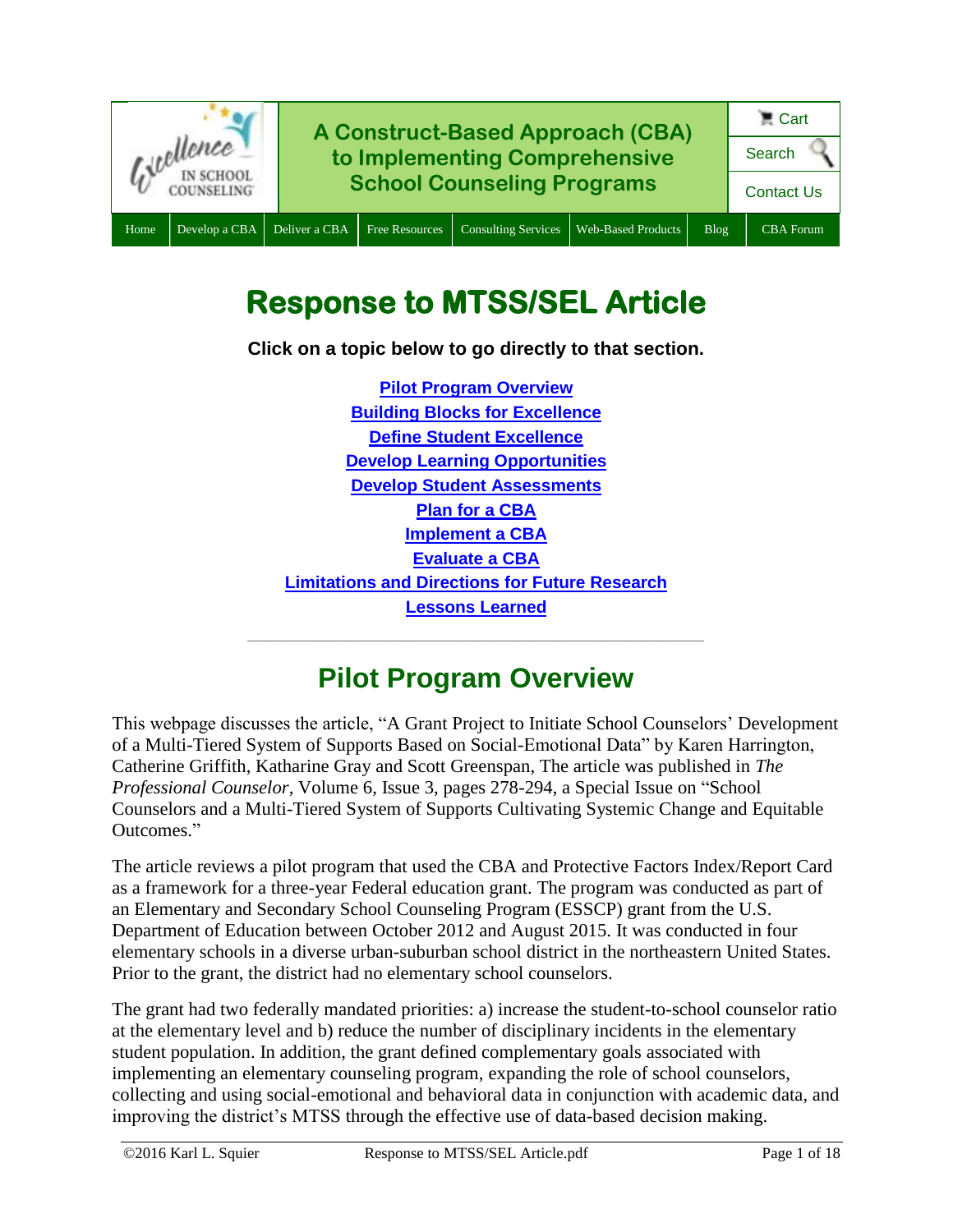

# **Response to MTSS/SEL Article**

**Click on a topic below to go directly to that section.**

**Pilot Program [Overview](#page-0-0) [Building Blocks for Excellence](#page-1-0) [Define Student Excellence](#page-2-0) [Develop Learning Opportunities](#page-6-0) [Develop Student Assessments](#page-7-0) [Plan for a CBA](#page-9-0) [Implement a CBA](#page-10-0) [Evaluate a CBA](#page-14-0) [Limitations and Directions for Future Research](#page-16-0) [Lessons Learned](#page-17-0) \_\_\_\_\_\_\_\_\_\_\_\_\_\_\_\_\_\_\_\_\_\_\_\_\_\_\_\_\_\_\_\_\_\_\_\_\_\_\_\_\_\_\_\_**

## **Pilot Program Overview**

<span id="page-0-0"></span>This webpage discusses the article, "A Grant Project to Initiate School Counselors' Development of a Multi-Tiered System of Supports Based on Social-Emotional Data" by Karen Harrington, Catherine Griffith, Katharine Gray and Scott Greenspan, The article was published in *The Professional Counselor,* Volume 6, Issue 3, pages 278-294, a Special Issue on "School Counselors and a Multi-Tiered System of Supports Cultivating Systemic Change and Equitable Outcomes."

The article reviews a pilot program that used the CBA and Protective Factors Index/Report Card as a framework for a three-year Federal education grant. The program was conducted as part of an Elementary and Secondary School Counseling Program (ESSCP) grant from the U.S. Department of Education between October 2012 and August 2015. It was conducted in four elementary schools in a diverse urban-suburban school district in the northeastern United States. Prior to the grant, the district had no elementary school counselors.

The grant had two federally mandated priorities: a) increase the student-to-school counselor ratio at the elementary level and b) reduce the number of disciplinary incidents in the elementary student population. In addition, the grant defined complementary goals associated with implementing an elementary counseling program, expanding the role of school counselors, collecting and using social-emotional and behavioral data in conjunction with academic data, and improving the district's MTSS through the effective use of data-based decision making.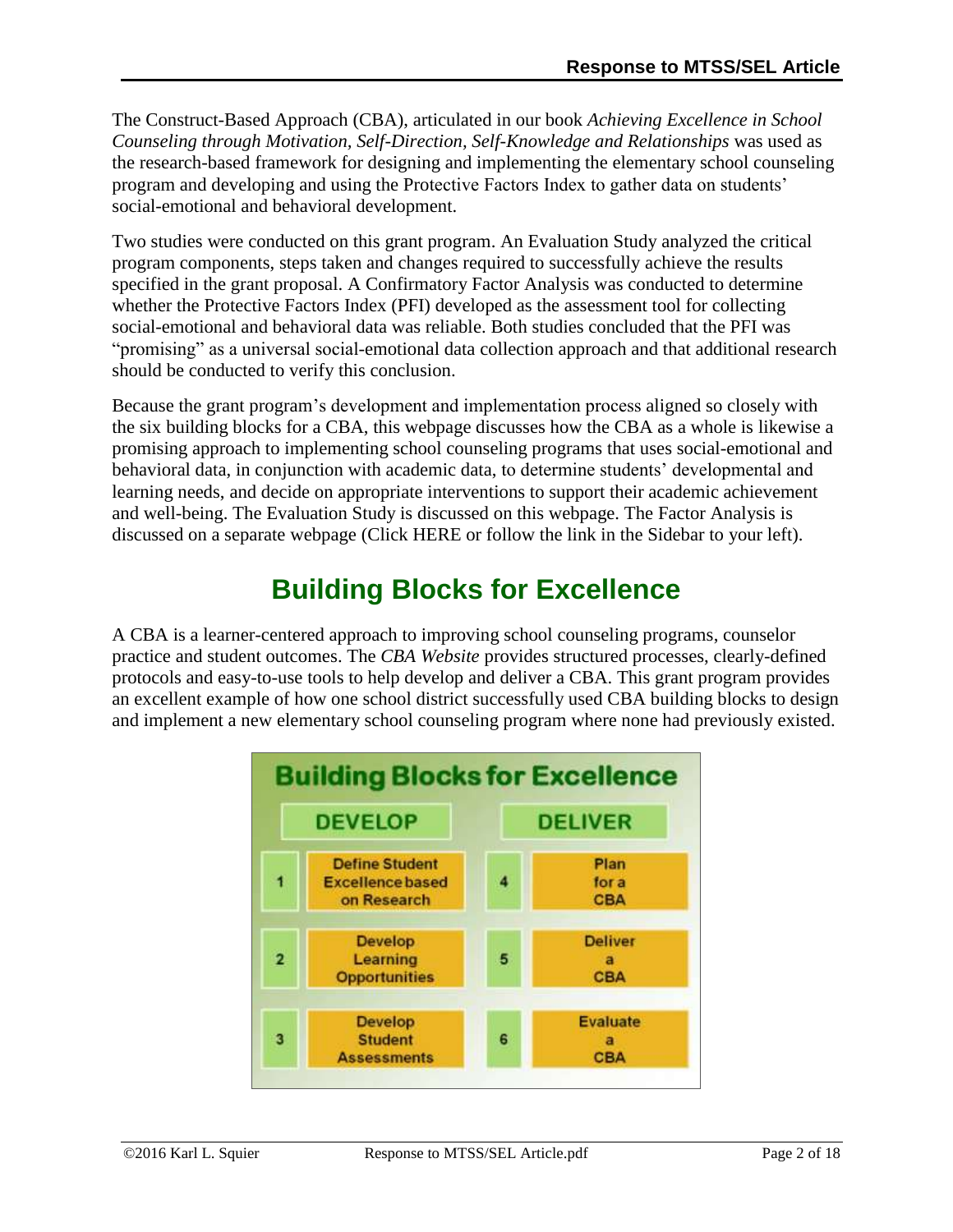The Construct-Based Approach (CBA), articulated in our book *Achieving Excellence in School Counseling through Motivation, Self-Direction, Self-Knowledge and Relationships* was used as the research-based framework for designing and implementing the elementary school counseling program and developing and using the Protective Factors Index to gather data on students' social-emotional and behavioral development.

Two studies were conducted on this grant program. An Evaluation Study analyzed the critical program components, steps taken and changes required to successfully achieve the results specified in the grant proposal. A Confirmatory Factor Analysis was conducted to determine whether the Protective Factors Index (PFI) developed as the assessment tool for collecting social-emotional and behavioral data was reliable. Both studies concluded that the PFI was "promising" as a universal social-emotional data collection approach and that additional research should be conducted to verify this conclusion.

Because the grant program's development and implementation process aligned so closely with the six building blocks for a CBA, this webpage discusses how the CBA as a whole is likewise a promising approach to implementing school counseling programs that uses social-emotional and behavioral data, in conjunction with academic data, to determine students' developmental and learning needs, and decide on appropriate interventions to support their academic achievement and well-being. The Evaluation Study is discussed on this webpage. The Factor Analysis is discussed on a separate webpage (Click HERE or follow the link in the Sidebar to your left).

# **Building Blocks for Excellence**

<span id="page-1-0"></span>A CBA is a learner-centered approach to improving school counseling programs, counselor practice and student outcomes. The *CBA Website* provides structured processes, clearly-defined protocols and easy-to-use tools to help develop and deliver a CBA. This grant program provides an excellent example of how one school district successfully used CBA building blocks to design and implement a new elementary school counseling program where none had previously existed.

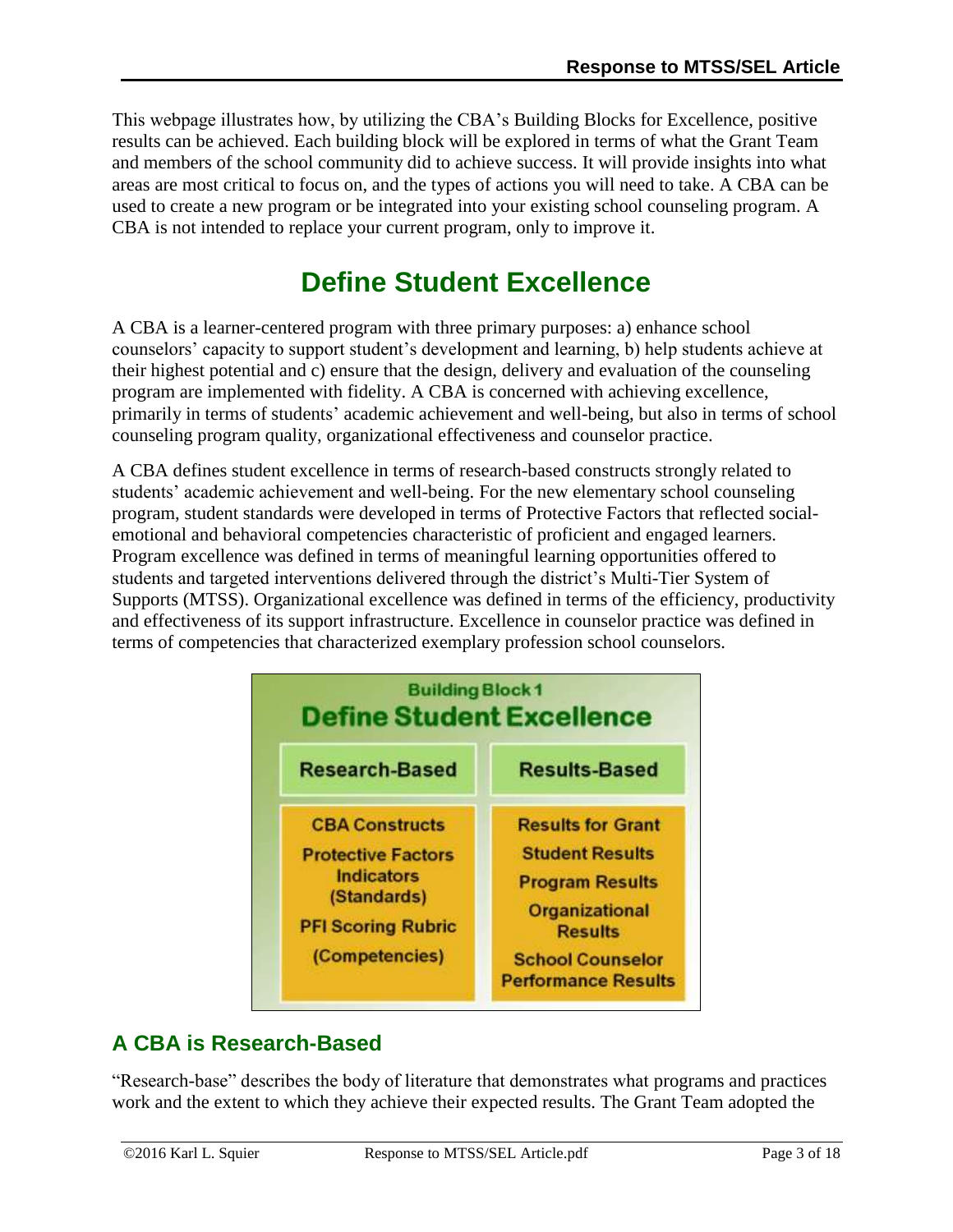This webpage illustrates how, by utilizing the CBA's Building Blocks for Excellence, positive results can be achieved. Each building block will be explored in terms of what the Grant Team and members of the school community did to achieve success. It will provide insights into what areas are most critical to focus on, and the types of actions you will need to take. A CBA can be used to create a new program or be integrated into your existing school counseling program. A CBA is not intended to replace your current program, only to improve it.

# **Define Student Excellence**

<span id="page-2-0"></span>A CBA is a learner-centered program with three primary purposes: a) enhance school counselors' capacity to support student's development and learning, b) help students achieve at their highest potential and c) ensure that the design, delivery and evaluation of the counseling program are implemented with fidelity. A CBA is concerned with achieving excellence, primarily in terms of students' academic achievement and well-being, but also in terms of school counseling program quality, organizational effectiveness and counselor practice.

A CBA defines student excellence in terms of research-based constructs strongly related to students' academic achievement and well-being. For the new elementary school counseling program, student standards were developed in terms of Protective Factors that reflected socialemotional and behavioral competencies characteristic of proficient and engaged learners. Program excellence was defined in terms of meaningful learning opportunities offered to students and targeted interventions delivered through the district's Multi-Tier System of Supports (MTSS). Organizational excellence was defined in terms of the efficiency, productivity and effectiveness of its support infrastructure. Excellence in counselor practice was defined in terms of competencies that characterized exemplary profession school counselors.



## **A CBA is Research-Based**

"Research-base" describes the body of literature that demonstrates what programs and practices work and the extent to which they achieve their expected results. The Grant Team adopted the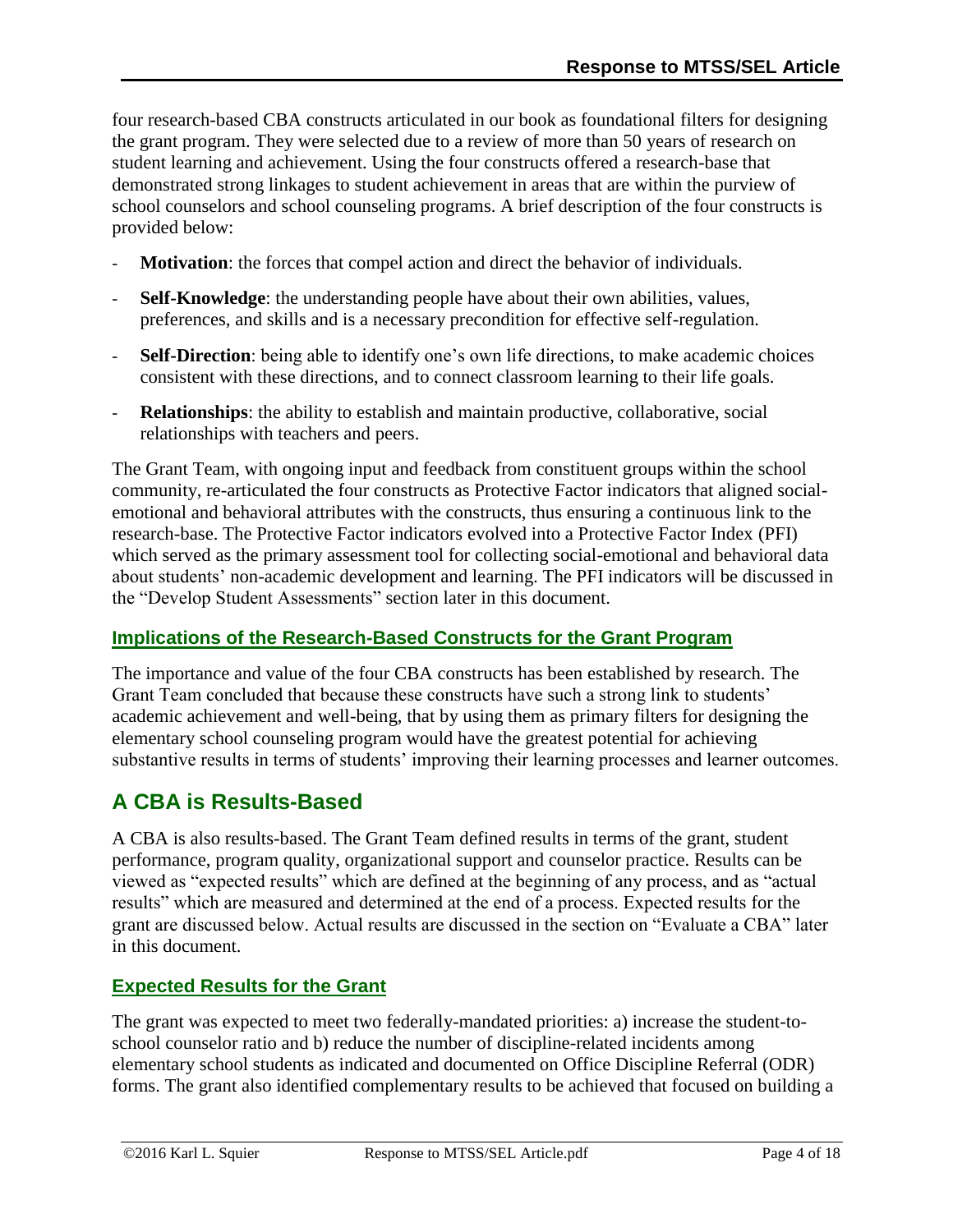four research-based CBA constructs articulated in our book as foundational filters for designing the grant program. They were selected due to a review of more than 50 years of research on student learning and achievement. Using the four constructs offered a research-base that demonstrated strong linkages to student achievement in areas that are within the purview of school counselors and school counseling programs. A brief description of the four constructs is provided below:

- **Motivation**: the forces that compel action and direct the behavior of individuals.
- Self-Knowledge: the understanding people have about their own abilities, values, preferences, and skills and is a necessary precondition for effective self-regulation.
- **Self-Direction**: being able to identify one's own life directions, to make academic choices consistent with these directions, and to connect classroom learning to their life goals.
- **Relationships**: the ability to establish and maintain productive, collaborative, social relationships with teachers and peers.

The Grant Team, with ongoing input and feedback from constituent groups within the school community, re-articulated the four constructs as Protective Factor indicators that aligned socialemotional and behavioral attributes with the constructs, thus ensuring a continuous link to the research-base. The Protective Factor indicators evolved into a Protective Factor Index (PFI) which served as the primary assessment tool for collecting social-emotional and behavioral data about students' non-academic development and learning. The PFI indicators will be discussed in the "Develop Student Assessments" section later in this document.

### **Implications of the Research-Based Constructs for the Grant Program**

The importance and value of the four CBA constructs has been established by research. The Grant Team concluded that because these constructs have such a strong link to students' academic achievement and well-being, that by using them as primary filters for designing the elementary school counseling program would have the greatest potential for achieving substantive results in terms of students' improving their learning processes and learner outcomes.

## **A CBA is Results-Based**

A CBA is also results-based. The Grant Team defined results in terms of the grant, student performance, program quality, organizational support and counselor practice. Results can be viewed as "expected results" which are defined at the beginning of any process, and as "actual results" which are measured and determined at the end of a process. Expected results for the grant are discussed below. Actual results are discussed in the section on "Evaluate a CBA" later in this document.

### **Expected Results for the Grant**

The grant was expected to meet two federally-mandated priorities: a) increase the student-toschool counselor ratio and b) reduce the number of discipline-related incidents among elementary school students as indicated and documented on Office Discipline Referral (ODR) forms. The grant also identified complementary results to be achieved that focused on building a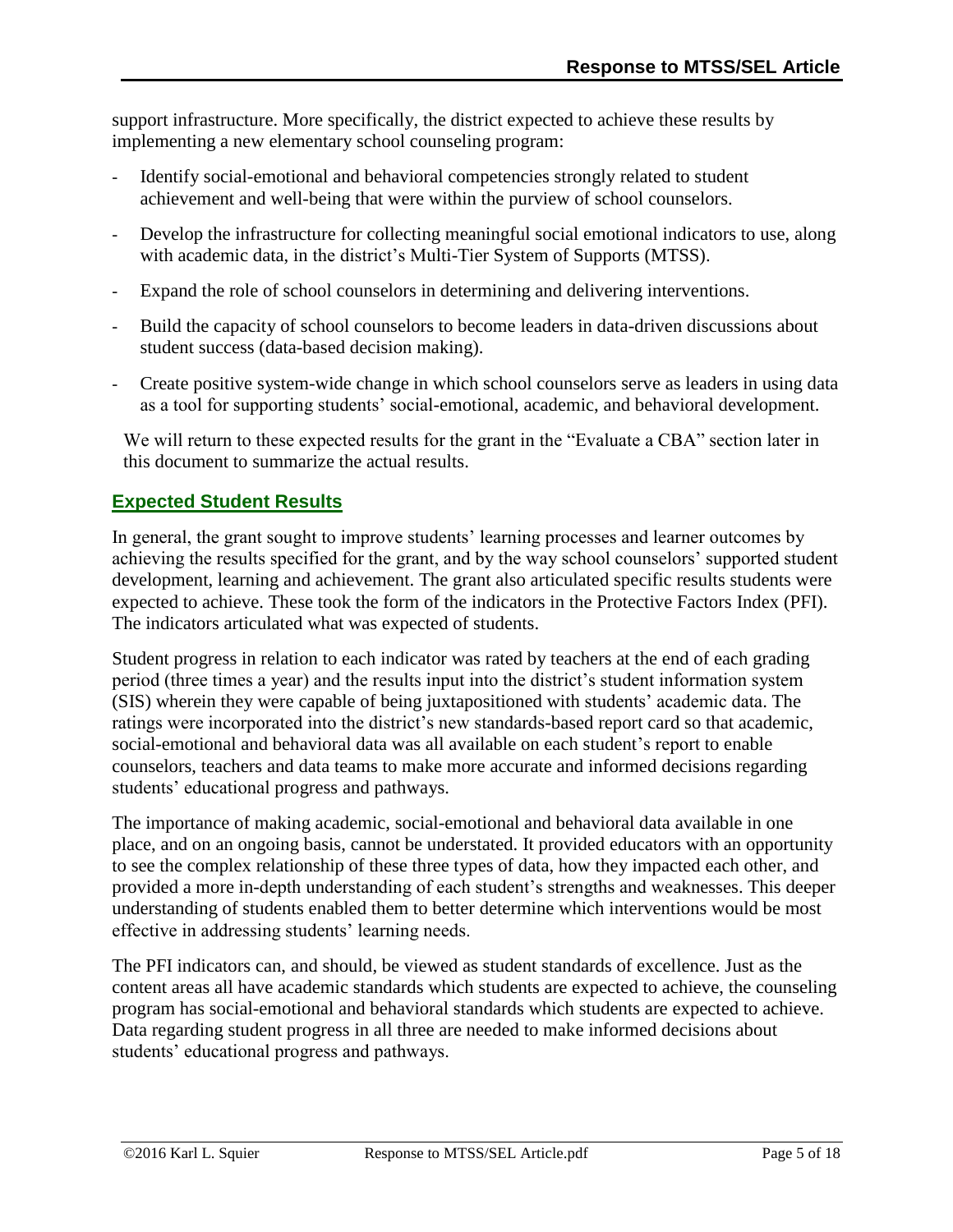support infrastructure. More specifically, the district expected to achieve these results by implementing a new elementary school counseling program:

- Identify social-emotional and behavioral competencies strongly related to student achievement and well-being that were within the purview of school counselors.
- Develop the infrastructure for collecting meaningful social emotional indicators to use, along with academic data, in the district's Multi-Tier System of Supports (MTSS).
- Expand the role of school counselors in determining and delivering interventions.
- Build the capacity of school counselors to become leaders in data-driven discussions about student success (data-based decision making).
- Create positive system-wide change in which school counselors serve as leaders in using data as a tool for supporting students' social-emotional, academic, and behavioral development.

We will return to these expected results for the grant in the "Evaluate a CBA" section later in this document to summarize the actual results.

### **Expected Student Results**

In general, the grant sought to improve students' learning processes and learner outcomes by achieving the results specified for the grant, and by the way school counselors' supported student development, learning and achievement. The grant also articulated specific results students were expected to achieve. These took the form of the indicators in the Protective Factors Index (PFI). The indicators articulated what was expected of students.

Student progress in relation to each indicator was rated by teachers at the end of each grading period (three times a year) and the results input into the district's student information system (SIS) wherein they were capable of being juxtapositioned with students' academic data. The ratings were incorporated into the district's new standards-based report card so that academic, social-emotional and behavioral data was all available on each student's report to enable counselors, teachers and data teams to make more accurate and informed decisions regarding students' educational progress and pathways.

The importance of making academic, social-emotional and behavioral data available in one place, and on an ongoing basis, cannot be understated. It provided educators with an opportunity to see the complex relationship of these three types of data, how they impacted each other, and provided a more in-depth understanding of each student's strengths and weaknesses. This deeper understanding of students enabled them to better determine which interventions would be most effective in addressing students' learning needs.

The PFI indicators can, and should, be viewed as student standards of excellence. Just as the content areas all have academic standards which students are expected to achieve, the counseling program has social-emotional and behavioral standards which students are expected to achieve. Data regarding student progress in all three are needed to make informed decisions about students' educational progress and pathways.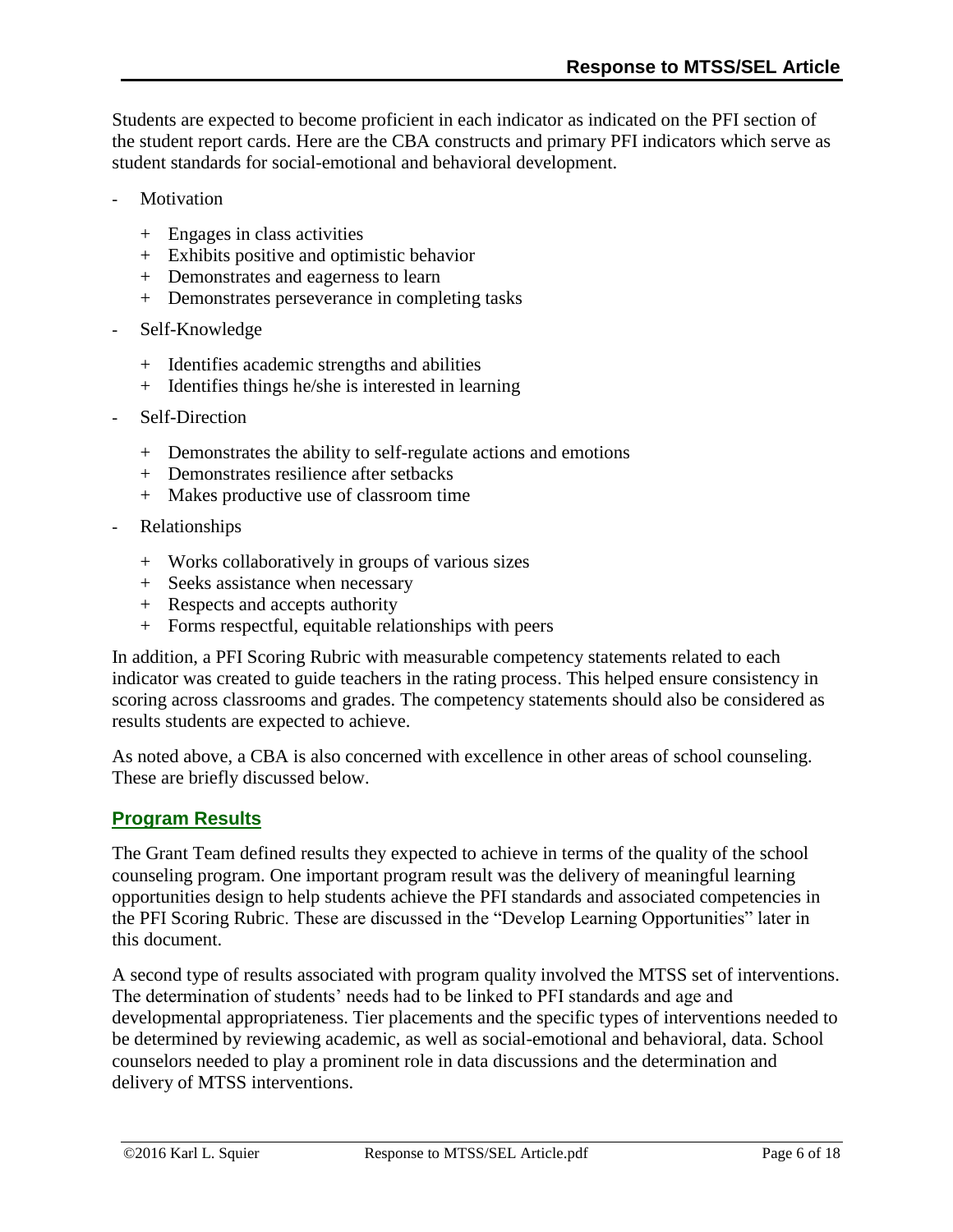Students are expected to become proficient in each indicator as indicated on the PFI section of the student report cards. Here are the CBA constructs and primary PFI indicators which serve as student standards for social-emotional and behavioral development.

- **Motivation** 
	- + Engages in class activities
	- + Exhibits positive and optimistic behavior
	- + Demonstrates and eagerness to learn
	- + Demonstrates perseverance in completing tasks
- Self-Knowledge
	- + Identifies academic strengths and abilities
	- + Identifies things he/she is interested in learning
- Self-Direction
	- + Demonstrates the ability to self-regulate actions and emotions
	- + Demonstrates resilience after setbacks
	- + Makes productive use of classroom time
- Relationships
	- + Works collaboratively in groups of various sizes
	- + Seeks assistance when necessary
	- + Respects and accepts authority
	- + Forms respectful, equitable relationships with peers

In addition, a PFI Scoring Rubric with measurable competency statements related to each indicator was created to guide teachers in the rating process. This helped ensure consistency in scoring across classrooms and grades. The competency statements should also be considered as results students are expected to achieve.

As noted above, a CBA is also concerned with excellence in other areas of school counseling. These are briefly discussed below.

#### **Program Results**

The Grant Team defined results they expected to achieve in terms of the quality of the school counseling program. One important program result was the delivery of meaningful learning opportunities design to help students achieve the PFI standards and associated competencies in the PFI Scoring Rubric. These are discussed in the "Develop Learning Opportunities" later in this document.

A second type of results associated with program quality involved the MTSS set of interventions. The determination of students' needs had to be linked to PFI standards and age and developmental appropriateness. Tier placements and the specific types of interventions needed to be determined by reviewing academic, as well as social-emotional and behavioral, data. School counselors needed to play a prominent role in data discussions and the determination and delivery of MTSS interventions.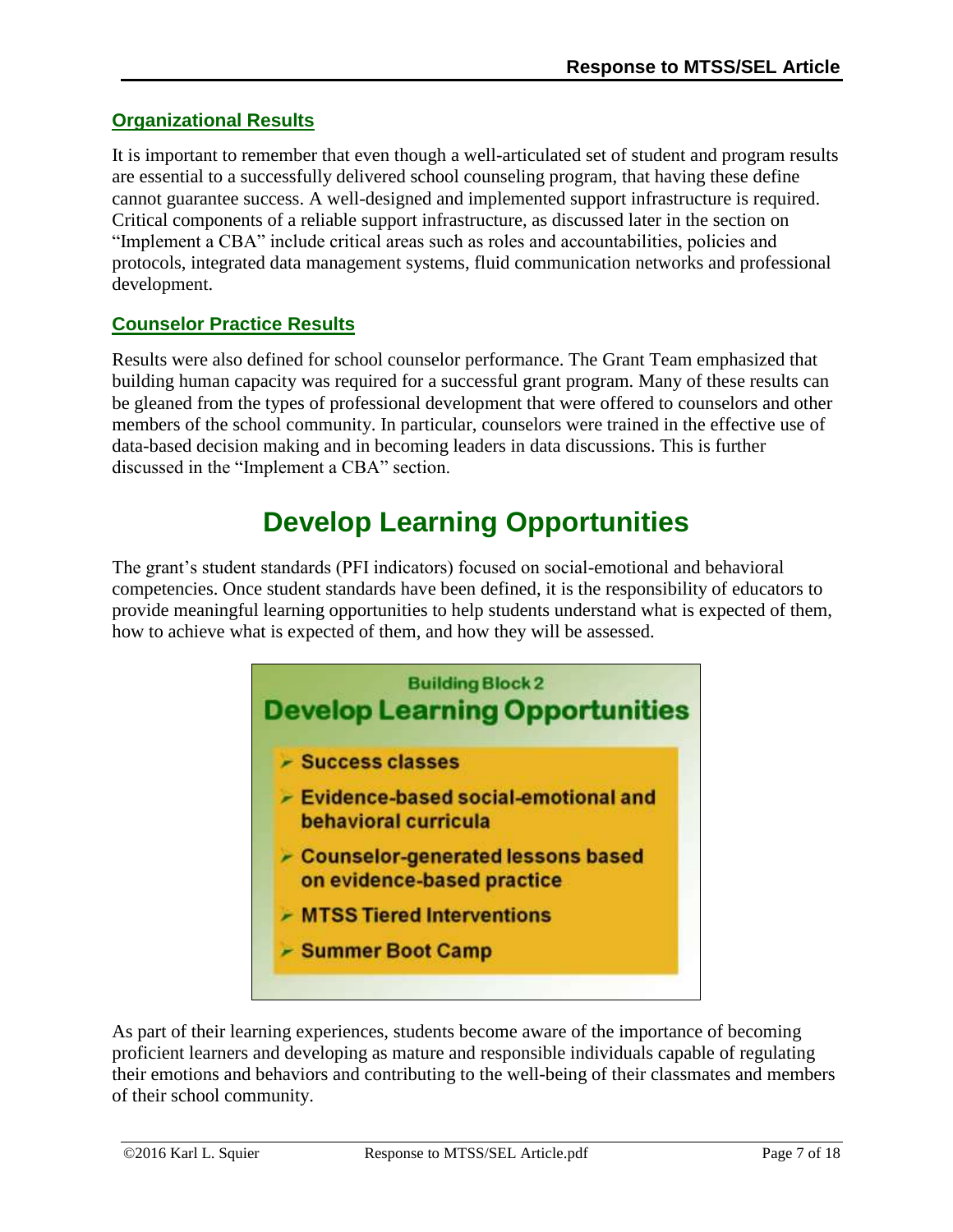### **Organizational Results**

It is important to remember that even though a well-articulated set of student and program results are essential to a successfully delivered school counseling program, that having these define cannot guarantee success. A well-designed and implemented support infrastructure is required. Critical components of a reliable support infrastructure, as discussed later in the section on "Implement a CBA" include critical areas such as roles and accountabilities, policies and protocols, integrated data management systems, fluid communication networks and professional development.

### **Counselor Practice Results**

Results were also defined for school counselor performance. The Grant Team emphasized that building human capacity was required for a successful grant program. Many of these results can be gleaned from the types of professional development that were offered to counselors and other members of the school community. In particular, counselors were trained in the effective use of data-based decision making and in becoming leaders in data discussions. This is further discussed in the "Implement a CBA" section.

# **Develop Learning Opportunities**

<span id="page-6-0"></span>The grant's student standards (PFI indicators) focused on social-emotional and behavioral competencies. Once student standards have been defined, it is the responsibility of educators to provide meaningful learning opportunities to help students understand what is expected of them, how to achieve what is expected of them, and how they will be assessed.



As part of their learning experiences, students become aware of the importance of becoming proficient learners and developing as mature and responsible individuals capable of regulating their emotions and behaviors and contributing to the well-being of their classmates and members of their school community.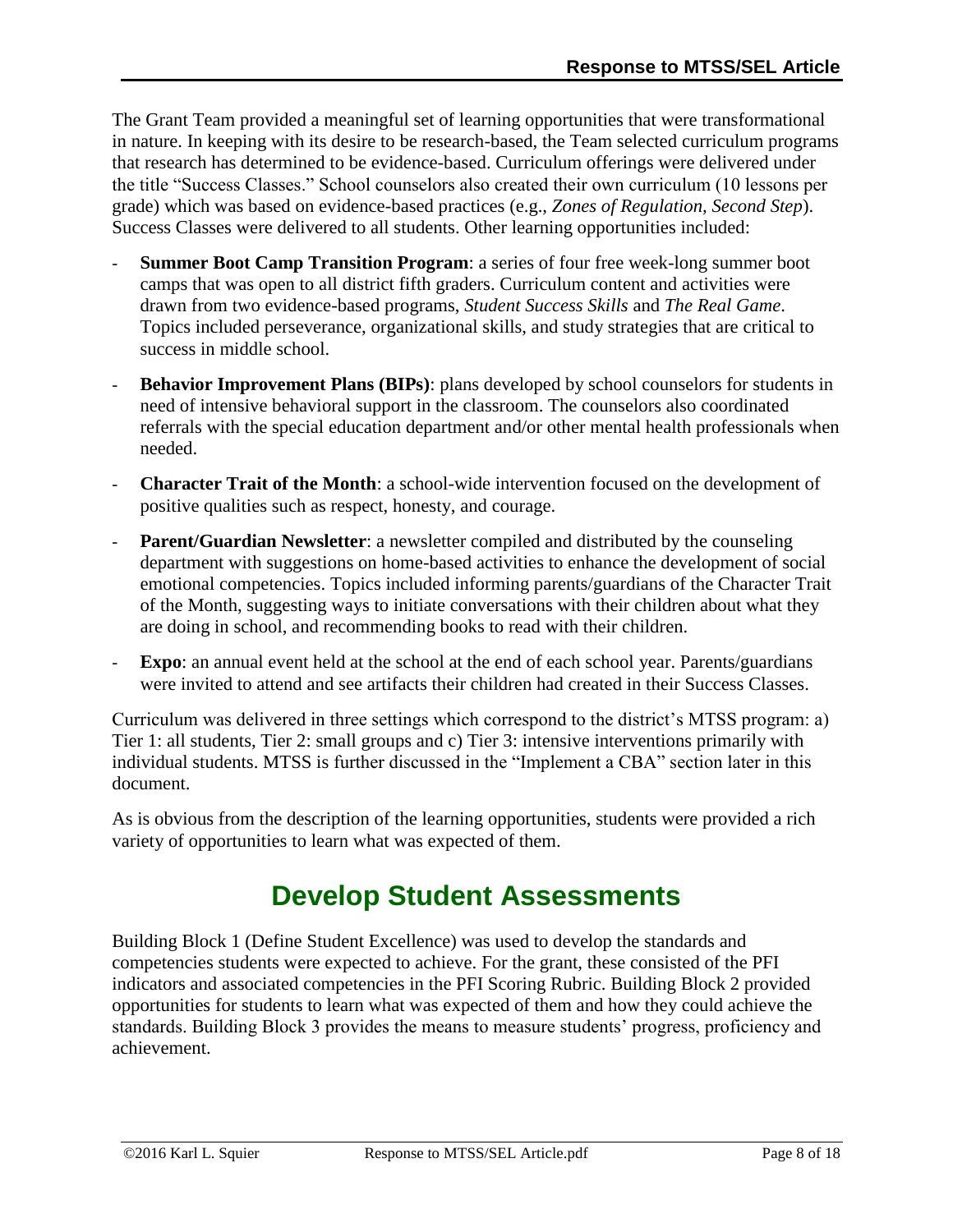The Grant Team provided a meaningful set of learning opportunities that were transformational in nature. In keeping with its desire to be research-based, the Team selected curriculum programs that research has determined to be evidence-based. Curriculum offerings were delivered under the title "Success Classes." School counselors also created their own curriculum (10 lessons per grade) which was based on evidence-based practices (e.g., *Zones of Regulation, Second Step*). Success Classes were delivered to all students. Other learning opportunities included:

- **Summer Boot Camp Transition Program:** a series of four free week-long summer boot camps that was open to all district fifth graders. Curriculum content and activities were drawn from two evidence-based programs, *Student Success Skills* and *The Real Game*. Topics included perseverance, organizational skills, and study strategies that are critical to success in middle school.
- **Behavior Improvement Plans (BIPs)**: plans developed by school counselors for students in need of intensive behavioral support in the classroom. The counselors also coordinated referrals with the special education department and/or other mental health professionals when needed.
- **Character Trait of the Month**: a school-wide intervention focused on the development of positive qualities such as respect, honesty, and courage.
- **Parent/Guardian Newsletter**: a newsletter compiled and distributed by the counseling department with suggestions on home-based activities to enhance the development of social emotional competencies. Topics included informing parents/guardians of the Character Trait of the Month, suggesting ways to initiate conversations with their children about what they are doing in school, and recommending books to read with their children.
- **Expo**: an annual event held at the school at the end of each school year. Parents/guardians were invited to attend and see artifacts their children had created in their Success Classes.

Curriculum was delivered in three settings which correspond to the district's MTSS program: a) Tier 1: all students, Tier 2: small groups and c) Tier 3: intensive interventions primarily with individual students. MTSS is further discussed in the "Implement a CBA" section later in this document.

<span id="page-7-0"></span>As is obvious from the description of the learning opportunities, students were provided a rich variety of opportunities to learn what was expected of them.

# **Develop Student Assessments**

Building Block 1 (Define Student Excellence) was used to develop the standards and competencies students were expected to achieve. For the grant, these consisted of the PFI indicators and associated competencies in the PFI Scoring Rubric. Building Block 2 provided opportunities for students to learn what was expected of them and how they could achieve the standards. Building Block 3 provides the means to measure students' progress, proficiency and achievement.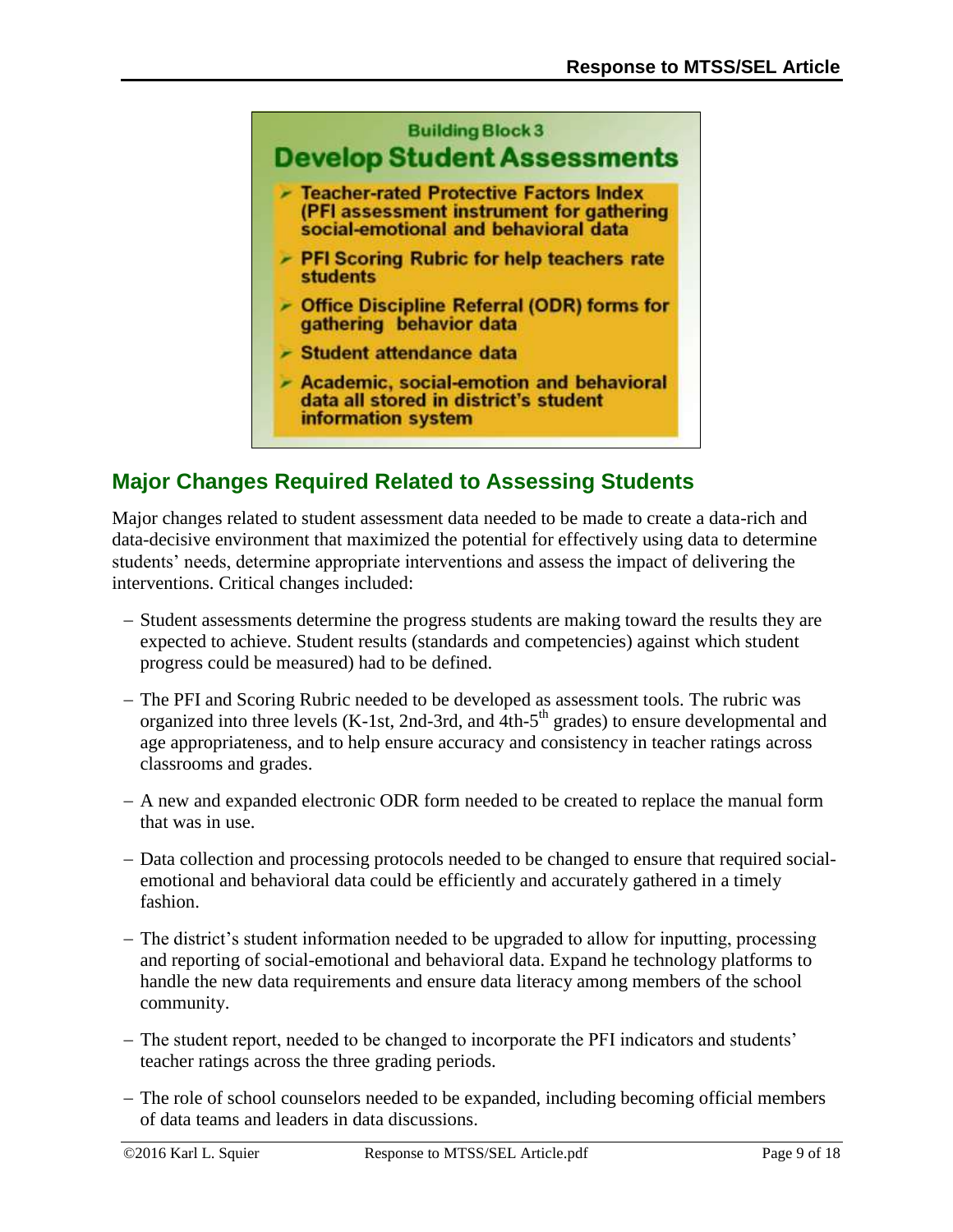

## **Major Changes Required Related to Assessing Students**

Major changes related to student assessment data needed to be made to create a data-rich and data-decisive environment that maximized the potential for effectively using data to determine students' needs, determine appropriate interventions and assess the impact of delivering the interventions. Critical changes included:

- Student assessments determine the progress students are making toward the results they are expected to achieve. Student results (standards and competencies) against which student progress could be measured) had to be defined.
- The PFI and Scoring Rubric needed to be developed as assessment tools. The rubric was organized into three levels (K-1st, 2nd-3rd, and 4th-5<sup>th</sup> grades) to ensure developmental and age appropriateness, and to help ensure accuracy and consistency in teacher ratings across classrooms and grades.
- A new and expanded electronic ODR form needed to be created to replace the manual form that was in use.
- Data collection and processing protocols needed to be changed to ensure that required socialemotional and behavioral data could be efficiently and accurately gathered in a timely fashion.
- The district's student information needed to be upgraded to allow for inputting, processing and reporting of social-emotional and behavioral data. Expand he technology platforms to handle the new data requirements and ensure data literacy among members of the school community.
- The student report, needed to be changed to incorporate the PFI indicators and students' teacher ratings across the three grading periods.
- The role of school counselors needed to be expanded, including becoming official members of data teams and leaders in data discussions.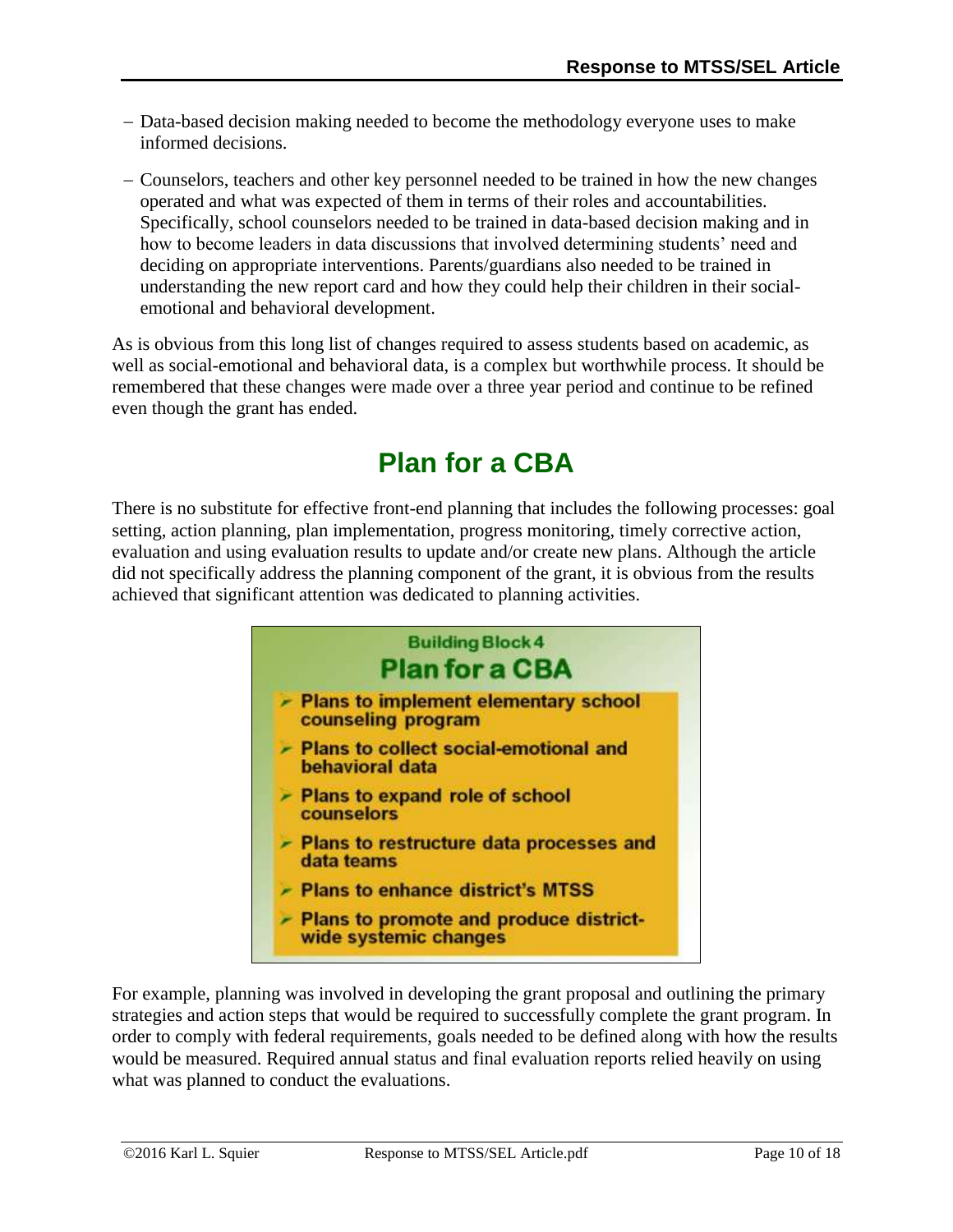- Data-based decision making needed to become the methodology everyone uses to make informed decisions.
- Counselors, teachers and other key personnel needed to be trained in how the new changes operated and what was expected of them in terms of their roles and accountabilities. Specifically, school counselors needed to be trained in data-based decision making and in how to become leaders in data discussions that involved determining students' need and deciding on appropriate interventions. Parents/guardians also needed to be trained in understanding the new report card and how they could help their children in their socialemotional and behavioral development.

As is obvious from this long list of changes required to assess students based on academic, as well as social-emotional and behavioral data, is a complex but worthwhile process. It should be remembered that these changes were made over a three year period and continue to be refined even though the grant has ended.

# **Plan for a CBA**

<span id="page-9-0"></span>There is no substitute for effective front-end planning that includes the following processes: goal setting, action planning, plan implementation, progress monitoring, timely corrective action, evaluation and using evaluation results to update and/or create new plans. Although the article did not specifically address the planning component of the grant, it is obvious from the results achieved that significant attention was dedicated to planning activities.



For example, planning was involved in developing the grant proposal and outlining the primary strategies and action steps that would be required to successfully complete the grant program. In order to comply with federal requirements, goals needed to be defined along with how the results would be measured. Required annual status and final evaluation reports relied heavily on using what was planned to conduct the evaluations.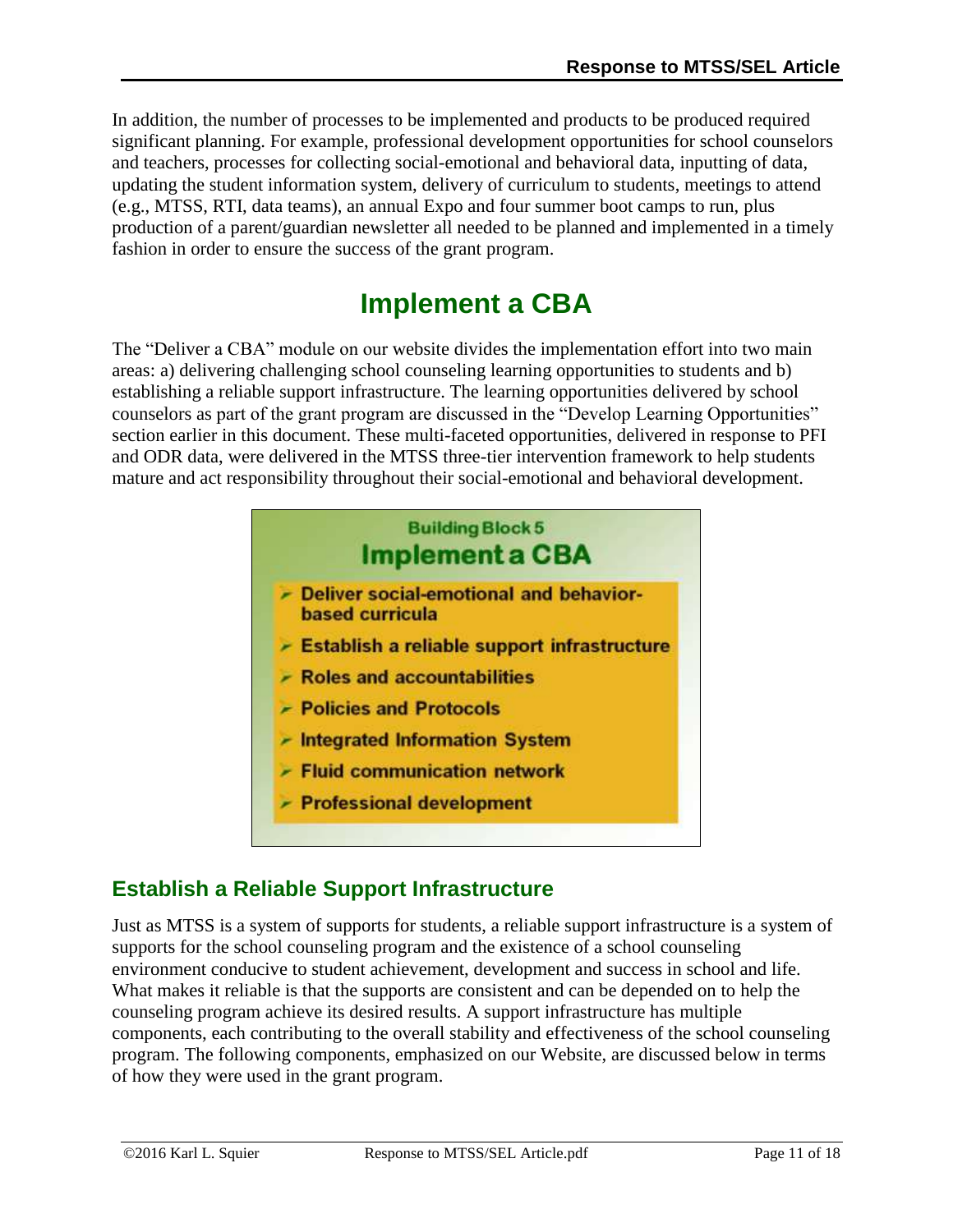In addition, the number of processes to be implemented and products to be produced required significant planning. For example, professional development opportunities for school counselors and teachers, processes for collecting social-emotional and behavioral data, inputting of data, updating the student information system, delivery of curriculum to students, meetings to attend (e.g., MTSS, RTI, data teams), an annual Expo and four summer boot camps to run, plus production of a parent/guardian newsletter all needed to be planned and implemented in a timely fashion in order to ensure the success of the grant program.

# **Implement a CBA**

<span id="page-10-0"></span>The "Deliver a CBA" module on our website divides the implementation effort into two main areas: a) delivering challenging school counseling learning opportunities to students and b) establishing a reliable support infrastructure. The learning opportunities delivered by school counselors as part of the grant program are discussed in the "Develop Learning Opportunities" section earlier in this document. These multi-faceted opportunities, delivered in response to PFI and ODR data, were delivered in the MTSS three-tier intervention framework to help students mature and act responsibility throughout their social-emotional and behavioral development.



## **Establish a Reliable Support Infrastructure**

Just as MTSS is a system of supports for students, a reliable support infrastructure is a system of supports for the school counseling program and the existence of a school counseling environment conducive to student achievement, development and success in school and life. What makes it reliable is that the supports are consistent and can be depended on to help the counseling program achieve its desired results. A support infrastructure has multiple components, each contributing to the overall stability and effectiveness of the school counseling program. The following components, emphasized on our Website, are discussed below in terms of how they were used in the grant program.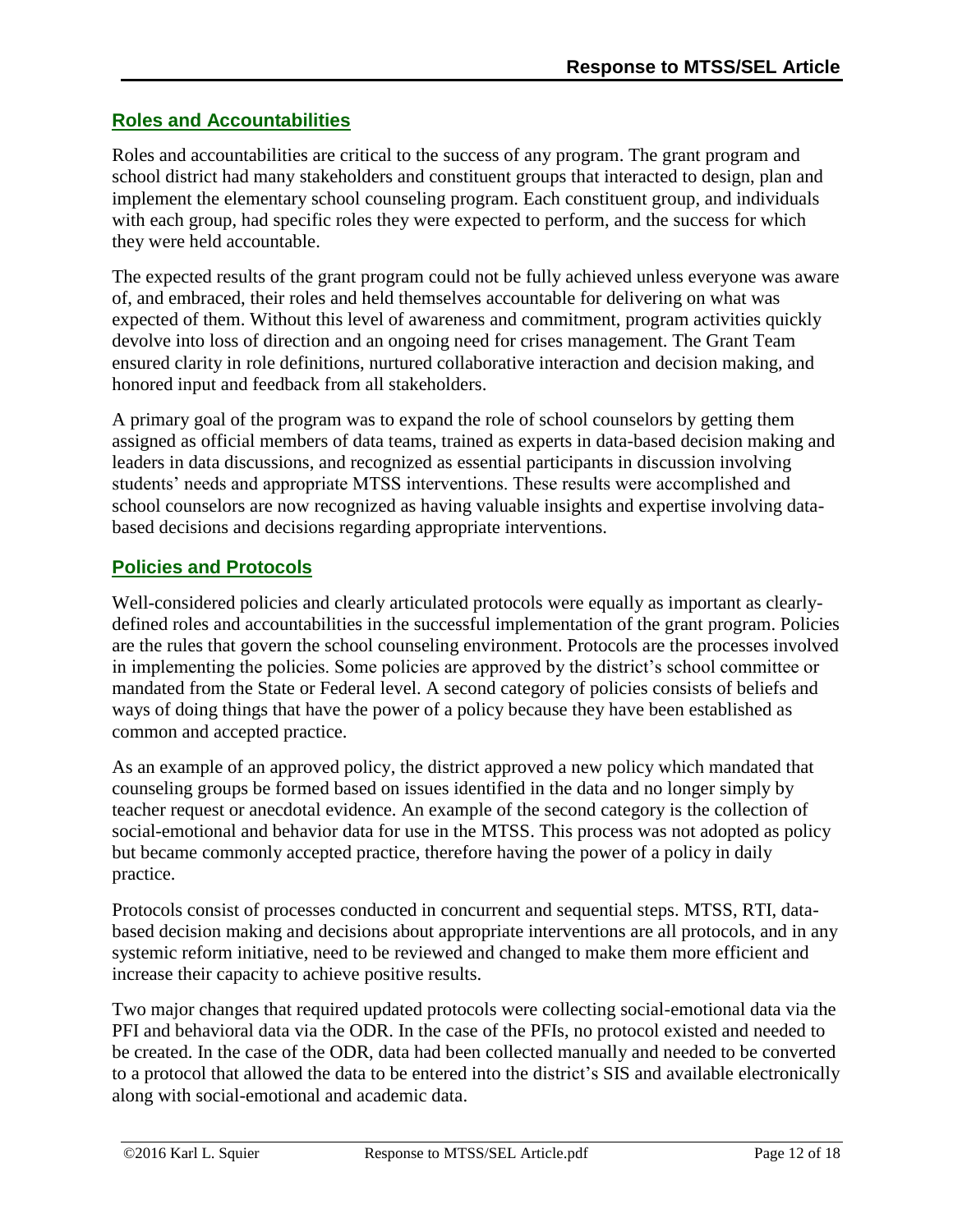### **Roles and Accountabilities**

Roles and accountabilities are critical to the success of any program. The grant program and school district had many stakeholders and constituent groups that interacted to design, plan and implement the elementary school counseling program. Each constituent group, and individuals with each group, had specific roles they were expected to perform, and the success for which they were held accountable.

The expected results of the grant program could not be fully achieved unless everyone was aware of, and embraced, their roles and held themselves accountable for delivering on what was expected of them. Without this level of awareness and commitment, program activities quickly devolve into loss of direction and an ongoing need for crises management. The Grant Team ensured clarity in role definitions, nurtured collaborative interaction and decision making, and honored input and feedback from all stakeholders.

A primary goal of the program was to expand the role of school counselors by getting them assigned as official members of data teams, trained as experts in data-based decision making and leaders in data discussions, and recognized as essential participants in discussion involving students' needs and appropriate MTSS interventions. These results were accomplished and school counselors are now recognized as having valuable insights and expertise involving databased decisions and decisions regarding appropriate interventions.

### **Policies and Protocols**

Well-considered policies and clearly articulated protocols were equally as important as clearlydefined roles and accountabilities in the successful implementation of the grant program. Policies are the rules that govern the school counseling environment. Protocols are the processes involved in implementing the policies. Some policies are approved by the district's school committee or mandated from the State or Federal level. A second category of policies consists of beliefs and ways of doing things that have the power of a policy because they have been established as common and accepted practice.

As an example of an approved policy, the district approved a new policy which mandated that counseling groups be formed based on issues identified in the data and no longer simply by teacher request or anecdotal evidence. An example of the second category is the collection of social-emotional and behavior data for use in the MTSS. This process was not adopted as policy but became commonly accepted practice, therefore having the power of a policy in daily practice.

Protocols consist of processes conducted in concurrent and sequential steps. MTSS, RTI, databased decision making and decisions about appropriate interventions are all protocols, and in any systemic reform initiative, need to be reviewed and changed to make them more efficient and increase their capacity to achieve positive results.

Two major changes that required updated protocols were collecting social-emotional data via the PFI and behavioral data via the ODR. In the case of the PFIs, no protocol existed and needed to be created. In the case of the ODR, data had been collected manually and needed to be converted to a protocol that allowed the data to be entered into the district's SIS and available electronically along with social-emotional and academic data.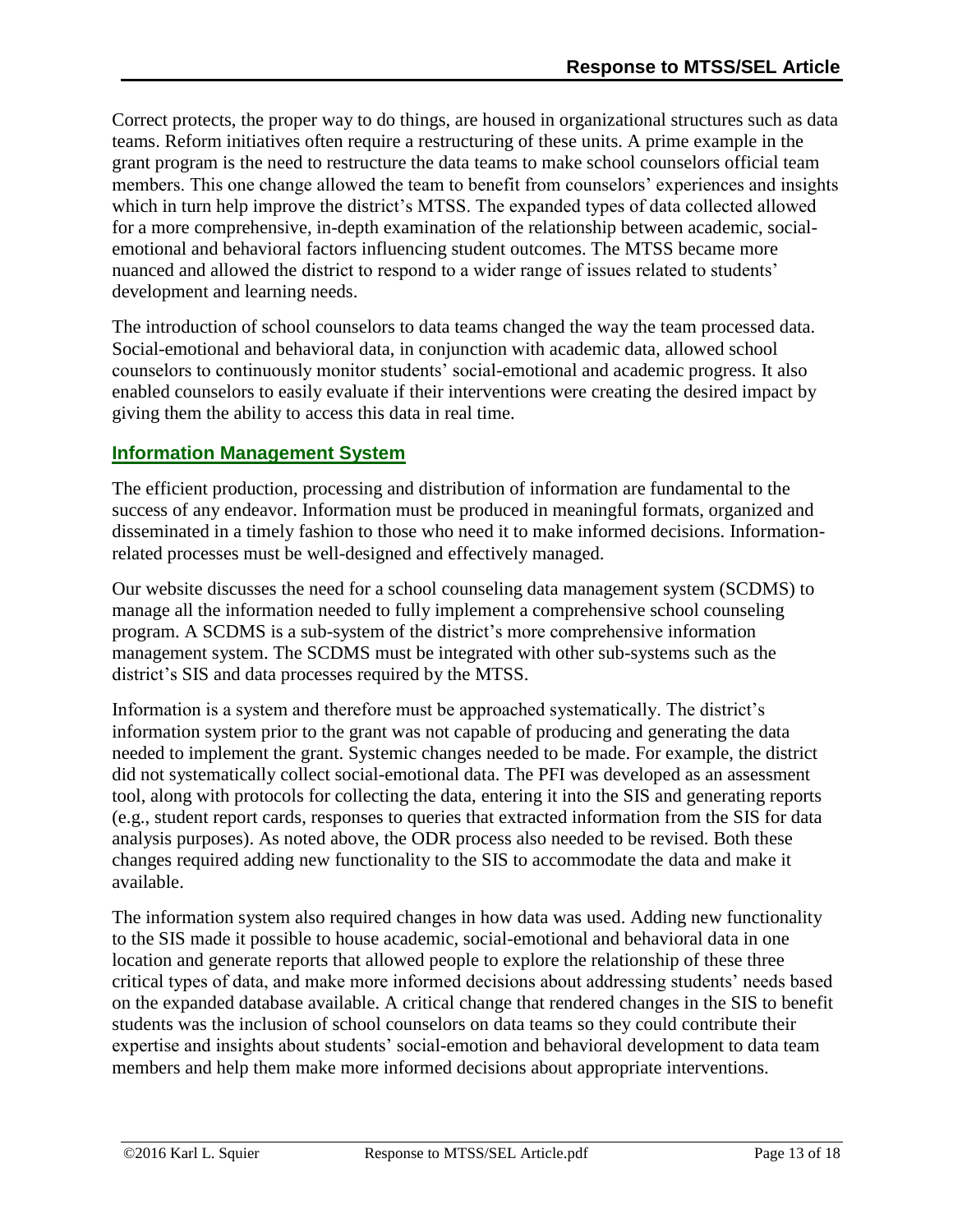Correct protects, the proper way to do things, are housed in organizational structures such as data teams. Reform initiatives often require a restructuring of these units. A prime example in the grant program is the need to restructure the data teams to make school counselors official team members. This one change allowed the team to benefit from counselors' experiences and insights which in turn help improve the district's MTSS. The expanded types of data collected allowed for a more comprehensive, in-depth examination of the relationship between academic, socialemotional and behavioral factors influencing student outcomes. The MTSS became more nuanced and allowed the district to respond to a wider range of issues related to students' development and learning needs.

The introduction of school counselors to data teams changed the way the team processed data. Social-emotional and behavioral data, in conjunction with academic data, allowed school counselors to continuously monitor students' social-emotional and academic progress. It also enabled counselors to easily evaluate if their interventions were creating the desired impact by giving them the ability to access this data in real time.

### **Information Management System**

The efficient production, processing and distribution of information are fundamental to the success of any endeavor. Information must be produced in meaningful formats, organized and disseminated in a timely fashion to those who need it to make informed decisions. Informationrelated processes must be well-designed and effectively managed.

Our website discusses the need for a school counseling data management system (SCDMS) to manage all the information needed to fully implement a comprehensive school counseling program. A SCDMS is a sub-system of the district's more comprehensive information management system. The SCDMS must be integrated with other sub-systems such as the district's SIS and data processes required by the MTSS.

Information is a system and therefore must be approached systematically. The district's information system prior to the grant was not capable of producing and generating the data needed to implement the grant. Systemic changes needed to be made. For example, the district did not systematically collect social-emotional data. The PFI was developed as an assessment tool, along with protocols for collecting the data, entering it into the SIS and generating reports (e.g., student report cards, responses to queries that extracted information from the SIS for data analysis purposes). As noted above, the ODR process also needed to be revised. Both these changes required adding new functionality to the SIS to accommodate the data and make it available.

The information system also required changes in how data was used. Adding new functionality to the SIS made it possible to house academic, social-emotional and behavioral data in one location and generate reports that allowed people to explore the relationship of these three critical types of data, and make more informed decisions about addressing students' needs based on the expanded database available. A critical change that rendered changes in the SIS to benefit students was the inclusion of school counselors on data teams so they could contribute their expertise and insights about students' social-emotion and behavioral development to data team members and help them make more informed decisions about appropriate interventions.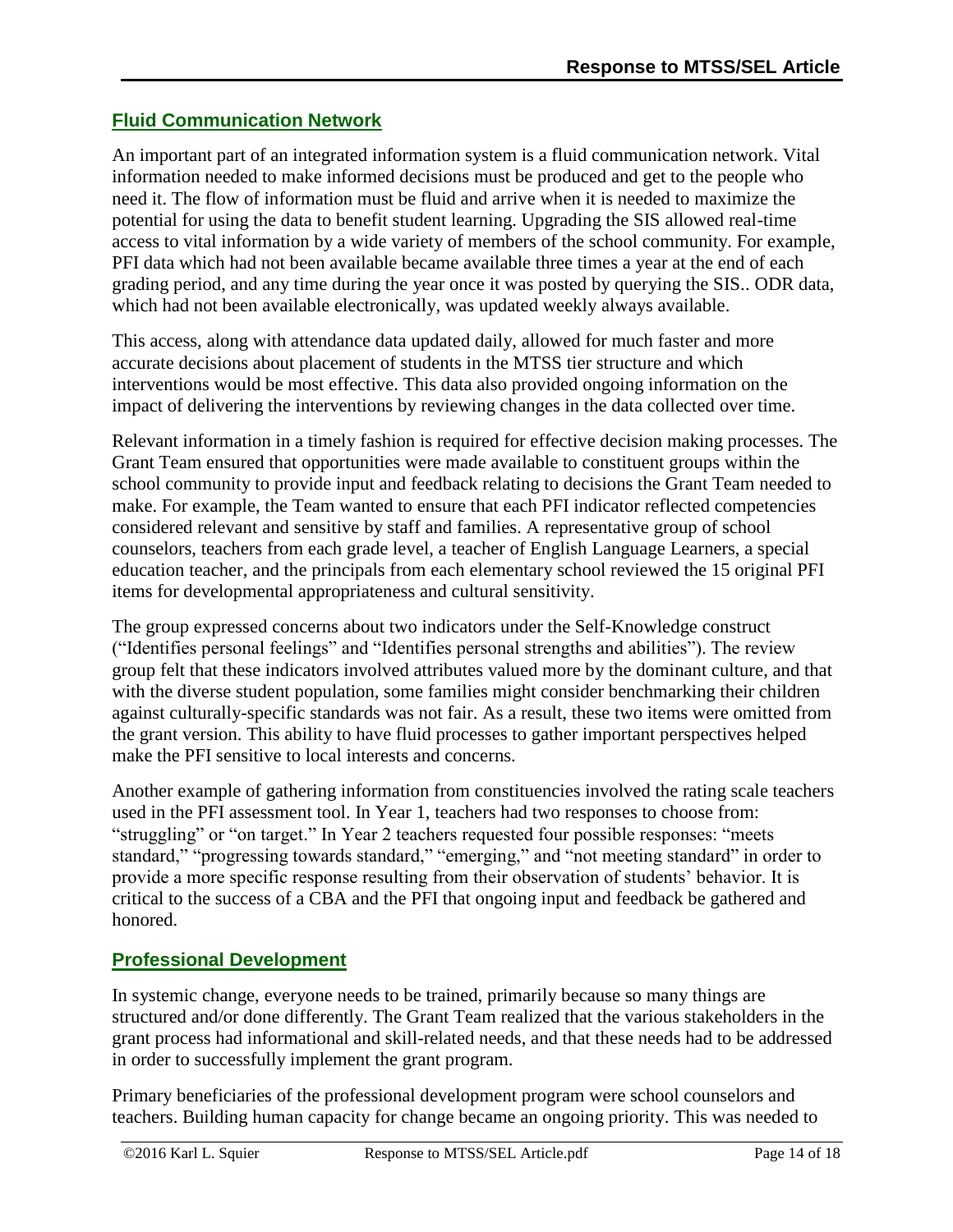### **Fluid Communication Network**

An important part of an integrated information system is a fluid communication network. Vital information needed to make informed decisions must be produced and get to the people who need it. The flow of information must be fluid and arrive when it is needed to maximize the potential for using the data to benefit student learning. Upgrading the SIS allowed real-time access to vital information by a wide variety of members of the school community. For example, PFI data which had not been available became available three times a year at the end of each grading period, and any time during the year once it was posted by querying the SIS.. ODR data, which had not been available electronically, was updated weekly always available.

This access, along with attendance data updated daily, allowed for much faster and more accurate decisions about placement of students in the MTSS tier structure and which interventions would be most effective. This data also provided ongoing information on the impact of delivering the interventions by reviewing changes in the data collected over time.

Relevant information in a timely fashion is required for effective decision making processes. The Grant Team ensured that opportunities were made available to constituent groups within the school community to provide input and feedback relating to decisions the Grant Team needed to make. For example, the Team wanted to ensure that each PFI indicator reflected competencies considered relevant and sensitive by staff and families. A representative group of school counselors, teachers from each grade level, a teacher of English Language Learners, a special education teacher, and the principals from each elementary school reviewed the 15 original PFI items for developmental appropriateness and cultural sensitivity.

The group expressed concerns about two indicators under the Self-Knowledge construct ("Identifies personal feelings" and "Identifies personal strengths and abilities"). The review group felt that these indicators involved attributes valued more by the dominant culture, and that with the diverse student population, some families might consider benchmarking their children against culturally-specific standards was not fair. As a result, these two items were omitted from the grant version. This ability to have fluid processes to gather important perspectives helped make the PFI sensitive to local interests and concerns.

Another example of gathering information from constituencies involved the rating scale teachers used in the PFI assessment tool. In Year 1, teachers had two responses to choose from: "struggling" or "on target." In Year 2 teachers requested four possible responses: "meets standard," "progressing towards standard," "emerging," and "not meeting standard" in order to provide a more specific response resulting from their observation of students' behavior. It is critical to the success of a CBA and the PFI that ongoing input and feedback be gathered and honored.

### **Professional Development**

In systemic change, everyone needs to be trained, primarily because so many things are structured and/or done differently. The Grant Team realized that the various stakeholders in the grant process had informational and skill-related needs, and that these needs had to be addressed in order to successfully implement the grant program.

Primary beneficiaries of the professional development program were school counselors and teachers. Building human capacity for change became an ongoing priority. This was needed to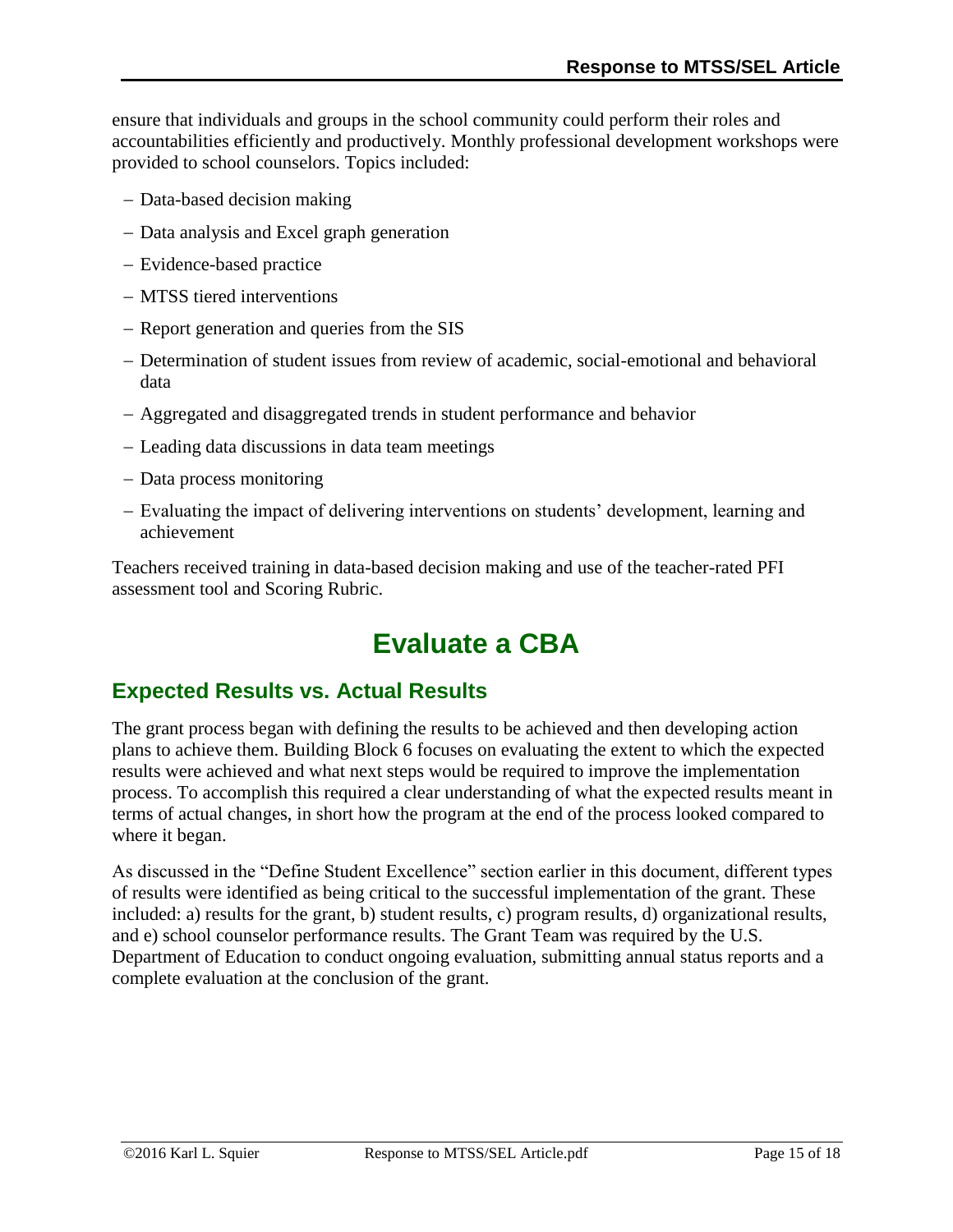ensure that individuals and groups in the school community could perform their roles and accountabilities efficiently and productively. Monthly professional development workshops were provided to school counselors. Topics included:

- Data-based decision making
- Data analysis and Excel graph generation
- Evidence-based practice
- MTSS tiered interventions
- Report generation and queries from the SIS
- Determination of student issues from review of academic, social-emotional and behavioral data
- Aggregated and disaggregated trends in student performance and behavior
- Leading data discussions in data team meetings
- Data process monitoring
- Evaluating the impact of delivering interventions on students' development, learning and achievement

<span id="page-14-0"></span>Teachers received training in data-based decision making and use of the teacher-rated PFI assessment tool and Scoring Rubric.

# **Evaluate a CBA**

### **Expected Results vs. Actual Results**

The grant process began with defining the results to be achieved and then developing action plans to achieve them. Building Block 6 focuses on evaluating the extent to which the expected results were achieved and what next steps would be required to improve the implementation process. To accomplish this required a clear understanding of what the expected results meant in terms of actual changes, in short how the program at the end of the process looked compared to where it began.

As discussed in the "Define Student Excellence" section earlier in this document, different types of results were identified as being critical to the successful implementation of the grant. These included: a) results for the grant, b) student results, c) program results, d) organizational results, and e) school counselor performance results. The Grant Team was required by the U.S. Department of Education to conduct ongoing evaluation, submitting annual status reports and a complete evaluation at the conclusion of the grant.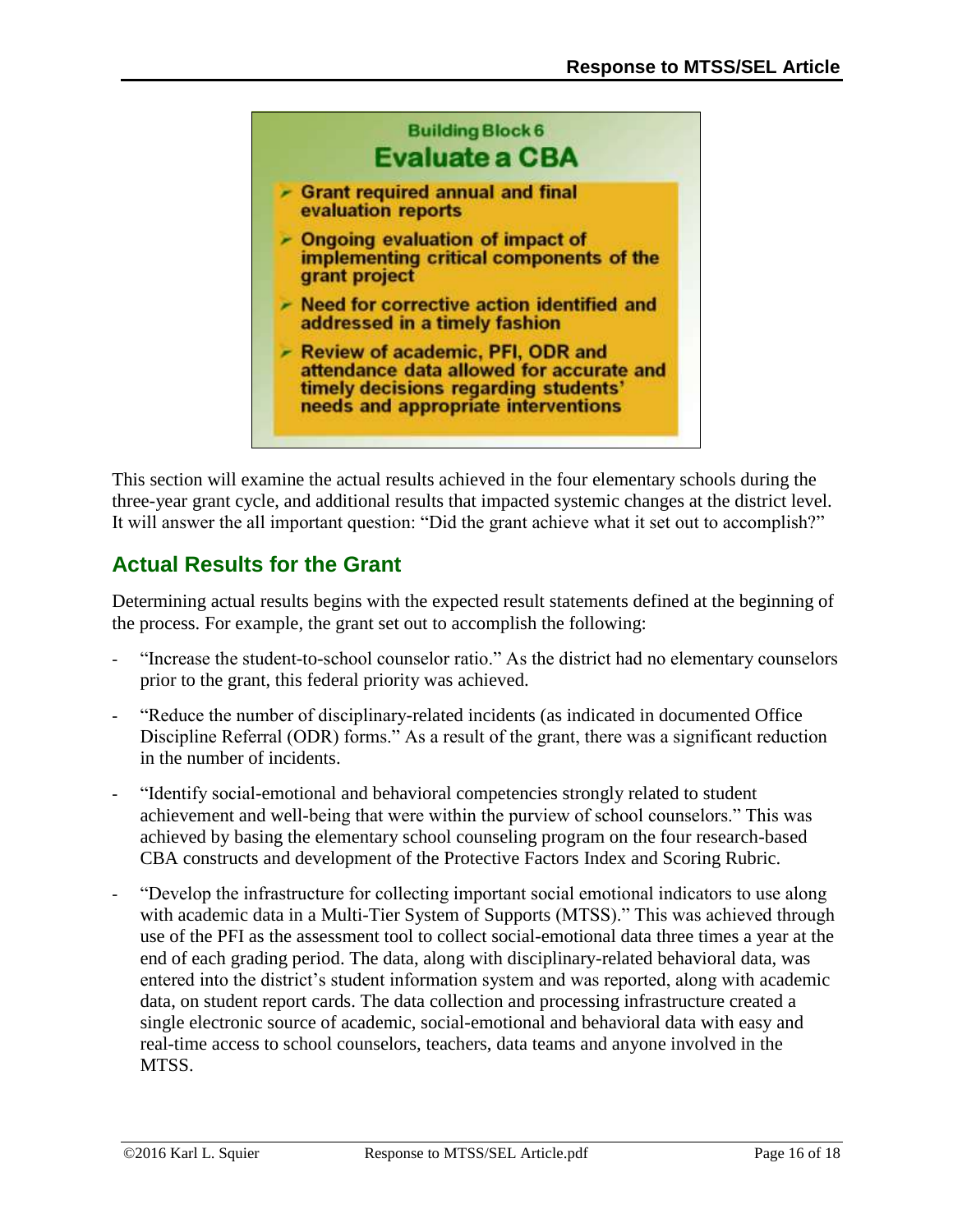

This section will examine the actual results achieved in the four elementary schools during the three-year grant cycle, and additional results that impacted systemic changes at the district level. It will answer the all important question: "Did the grant achieve what it set out to accomplish?"

## **Actual Results for the Grant**

Determining actual results begins with the expected result statements defined at the beginning of the process. For example, the grant set out to accomplish the following:

- "Increase the student-to-school counselor ratio." As the district had no elementary counselors prior to the grant, this federal priority was achieved.
- "Reduce the number of disciplinary-related incidents (as indicated in documented Office Discipline Referral (ODR) forms." As a result of the grant, there was a significant reduction in the number of incidents.
- "Identify social-emotional and behavioral competencies strongly related to student achievement and well-being that were within the purview of school counselors." This was achieved by basing the elementary school counseling program on the four research-based CBA constructs and development of the Protective Factors Index and Scoring Rubric.
- "Develop the infrastructure for collecting important social emotional indicators to use along with academic data in a Multi-Tier System of Supports (MTSS)." This was achieved through use of the PFI as the assessment tool to collect social-emotional data three times a year at the end of each grading period. The data, along with disciplinary-related behavioral data, was entered into the district's student information system and was reported, along with academic data, on student report cards. The data collection and processing infrastructure created a single electronic source of academic, social-emotional and behavioral data with easy and real-time access to school counselors, teachers, data teams and anyone involved in the MTSS.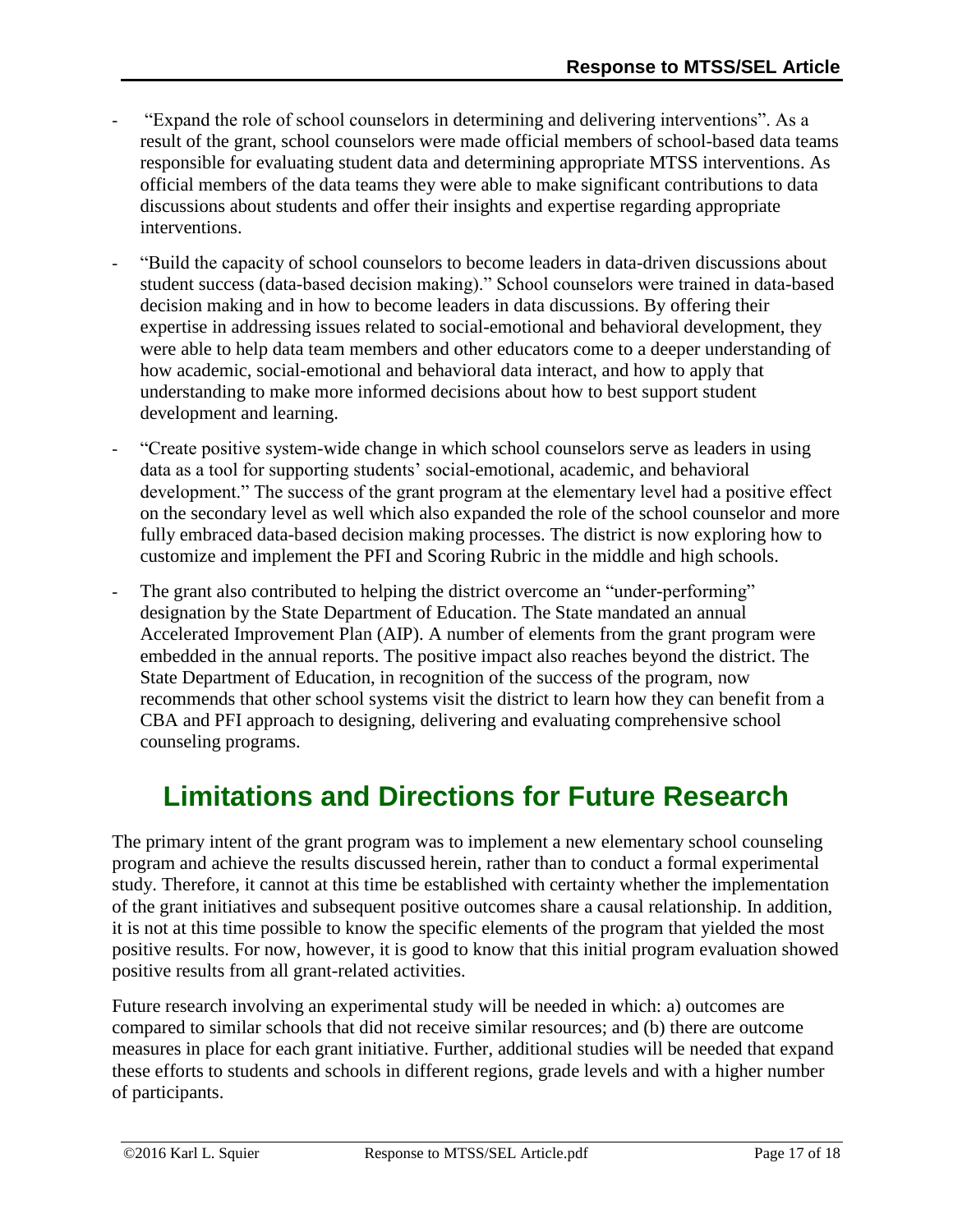- "Expand the role of school counselors in determining and delivering interventions". As a result of the grant, school counselors were made official members of school-based data teams responsible for evaluating student data and determining appropriate MTSS interventions. As official members of the data teams they were able to make significant contributions to data discussions about students and offer their insights and expertise regarding appropriate interventions.
- "Build the capacity of school counselors to become leaders in data-driven discussions about student success (data-based decision making)." School counselors were trained in data-based decision making and in how to become leaders in data discussions. By offering their expertise in addressing issues related to social-emotional and behavioral development, they were able to help data team members and other educators come to a deeper understanding of how academic, social-emotional and behavioral data interact, and how to apply that understanding to make more informed decisions about how to best support student development and learning.
- "Create positive system-wide change in which school counselors serve as leaders in using data as a tool for supporting students' social-emotional, academic, and behavioral development." The success of the grant program at the elementary level had a positive effect on the secondary level as well which also expanded the role of the school counselor and more fully embraced data-based decision making processes. The district is now exploring how to customize and implement the PFI and Scoring Rubric in the middle and high schools.
- The grant also contributed to helping the district overcome an "under-performing" designation by the State Department of Education. The State mandated an annual Accelerated Improvement Plan (AIP). A number of elements from the grant program were embedded in the annual reports. The positive impact also reaches beyond the district. The State Department of Education, in recognition of the success of the program, now recommends that other school systems visit the district to learn how they can benefit from a CBA and PFI approach to designing, delivering and evaluating comprehensive school counseling programs.

# <span id="page-16-0"></span>**Limitations and Directions for Future Research**

The primary intent of the grant program was to implement a new elementary school counseling program and achieve the results discussed herein, rather than to conduct a formal experimental study. Therefore, it cannot at this time be established with certainty whether the implementation of the grant initiatives and subsequent positive outcomes share a causal relationship. In addition, it is not at this time possible to know the specific elements of the program that yielded the most positive results. For now, however, it is good to know that this initial program evaluation showed positive results from all grant-related activities.

Future research involving an experimental study will be needed in which: a) outcomes are compared to similar schools that did not receive similar resources; and (b) there are outcome measures in place for each grant initiative. Further, additional studies will be needed that expand these efforts to students and schools in different regions, grade levels and with a higher number of participants.